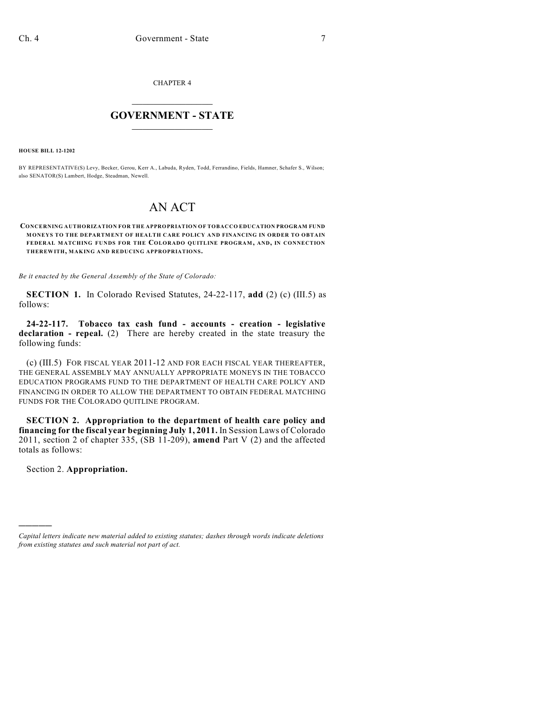CHAPTER 4

# $\mathcal{L}_\text{max}$  . The set of the set of the set of the set of the set of the set of the set of the set of the set of the set of the set of the set of the set of the set of the set of the set of the set of the set of the set **GOVERNMENT - STATE**  $\_$   $\_$   $\_$   $\_$   $\_$   $\_$   $\_$   $\_$

**HOUSE BILL 12-1202**

BY REPRESENTATIVE(S) Levy, Becker, Gerou, Kerr A., Labuda, Ryden, Todd, Ferrandino, Fields, Hamner, Schafer S., Wilson; also SENATOR(S) Lambert, Hodge, Steadman, Newell.

# AN ACT

**CONCERNING AUTHORIZATION FOR THE APPROPRIATION OF TOBACCO EDUCATION PROGRAM FUND MONEYS TO THE DEPARTMENT OF HEALTH CARE POLICY AND FINANCING IN ORDER TO OBTAIN FEDERAL MATCHING FUNDS FOR THE COLORADO QUITLINE PROGRAM, AND, IN CONNECTION THEREWITH, MAKING AND REDUCING APPROPRIATIONS.**

*Be it enacted by the General Assembly of the State of Colorado:*

**SECTION 1.** In Colorado Revised Statutes, 24-22-117, **add** (2) (c) (III.5) as follows:

**24-22-117. Tobacco tax cash fund - accounts - creation - legislative declaration - repeal.** (2) There are hereby created in the state treasury the following funds:

(c) (III.5) FOR FISCAL YEAR 2011-12 AND FOR EACH FISCAL YEAR THEREAFTER, THE GENERAL ASSEMBLY MAY ANNUALLY APPROPRIATE MONEYS IN THE TOBACCO EDUCATION PROGRAMS FUND TO THE DEPARTMENT OF HEALTH CARE POLICY AND FINANCING IN ORDER TO ALLOW THE DEPARTMENT TO OBTAIN FEDERAL MATCHING FUNDS FOR THE COLORADO QUITLINE PROGRAM.

**SECTION 2. Appropriation to the department of health care policy and financing for the fiscal year beginning July 1, 2011.** In Session Laws of Colorado 2011, section 2 of chapter 335, (SB 11-209), **amend** Part V (2) and the affected totals as follows:

Section 2. **Appropriation.**

)))))

*Capital letters indicate new material added to existing statutes; dashes through words indicate deletions from existing statutes and such material not part of act.*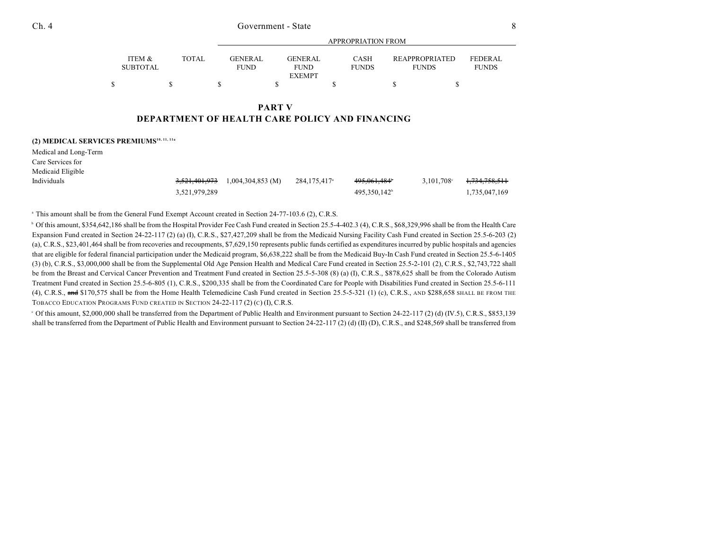|   | ITEM &          | <b>TOTAL</b> | <b>GENER AL</b> | GENERAL       | <b>CASH</b>  | <b>REAPPROPRIATED</b> | <b>FEDERAL</b> |
|---|-----------------|--------------|-----------------|---------------|--------------|-----------------------|----------------|
|   | <b>SUBTOTAL</b> |              | FUND            | <b>FUND</b>   | <b>FUNDS</b> | <b>FUNDS</b>          | <b>FUNDS</b>   |
|   |                 |              |                 | <b>EXEMPT</b> |              |                       |                |
| ¢ |                 |              |                 |               |              |                       |                |

APPROPRIATION FROM

#### **PART V DEPARTMENT OF HEALTH CARE POLICY AND FINANCING**

**(2) MEDICAL SERVICES PREMIUMS10, 11, 11a**

Medical and Long-Term

| Care Services for |               |                                 |                          |                          |                                      |
|-------------------|---------------|---------------------------------|--------------------------|--------------------------|--------------------------------------|
| Medicaid Eligible |               |                                 |                          |                          |                                      |
| Individuals       |               | 3,521,401,973 1,004,304,853 (M) | 284.175.417 <sup>a</sup> | 495.061.484              | 3,101,708 <sup>c</sup> 1,734,758,511 |
|                   | 3.521.979.289 |                                 |                          | 495.350.142 <sup>b</sup> | 1.735.047.169                        |

<sup>a</sup> This amount shall be from the General Fund Exempt Account created in Section 24-77-103.6 (2), C.R.S.

<sup>b</sup> Of this amount, \$354,642,186 shall be from the Hospital Provider Fee Cash Fund created in Section 25.5-4-402.3 (4), C.R.S., \$68,329,996 shall be from the Health Care Expansion Fund created in Section 24-22-117 (2) (a) (I), C.R.S., \$27,427,209 shall be from the Medicaid Nursing Facility Cash Fund created in Section 25.5-6-203 (2) (a), C.R.S., \$23,401,464 shall be from recoveries and recoupments, \$7,629,150 represents public funds certified as expenditures incurred by public hospitals and agencies that are eligible for federal financial participation under the Medicaid program, \$6,638,222 shall be from the Medicaid Buy-In Cash Fund created in Section 25.5-6-1405 (3) (b), C.R.S., \$3,000,000 shall be from the Supplemental Old Age Pension Health and Medical Care Fund created in Section 25.5-2-101 (2), C.R.S., \$2,743,722 shall be from the Breast and Cervical Cancer Prevention and Treatment Fund created in Section 25.5-5-308 (8) (a) (I), C.R.S., \$878,625 shall be from the Colorado Autism Treatment Fund created in Section 25.5-6-805 (1), C.R.S., \$200,335 shall be from the Coordinated Care for People with Disabilities Fund created in Section 25.5-6-111 (4), C.R.S.,  $\frac{1}{2}$  and \$170,575 shall be from the Home Health Telemedicine Cash Fund created in Section 25.5-5-321 (1) (c), C.R.S., AND \$288,658 SHALL BE FROM THE TOBACCO EDUCATION PROGRAMS FUND CREATED IN SECTION 24-22-117 (2) (C) (I), C.R.S.

Of this amount, \$2,000,000 shall be transferred from the Department of Public Health and Environment pursuant to Section 24-22-117 (2) (d) (IV.5), C.R.S., \$853,139 <sup>c</sup> shall be transferred from the Department of Public Health and Environment pursuant to Section 24-22-117 (2) (d) (II) (D), C.R.S., and \$248,569 shall be transferred from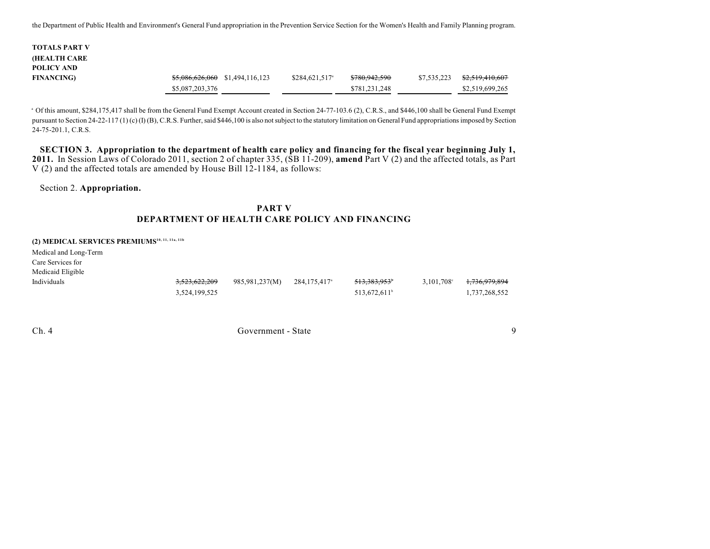the Department of Public Health and Environment's General Fund appropriation in the Prevention Service Section for the Women's Health and Family Planning program.

| TOTALS PART V       |                 |                                            |                             |                          |             |                            |
|---------------------|-----------------|--------------------------------------------|-----------------------------|--------------------------|-------------|----------------------------|
|                     |                 |                                            |                             |                          |             |                            |
| <b>(HEALTH CARE</b> |                 |                                            |                             |                          |             |                            |
| POLICY AND          |                 |                                            |                             |                          |             |                            |
| <b>FINANCING)</b>   |                 | <del>\$5,086,626,060</del> \$1,494,116,123 | $$284,621,517$ <sup>a</sup> | <del>\$780,942,590</del> | \$7,535,223 | <del>\$2,519,410,607</del> |
|                     | \$5,087,203,376 |                                            |                             | \$781,231,248            |             | \$2,519,699,265            |

<sup>a</sup> Of this amount, \$284,175,417 shall be from the General Fund Exempt Account created in Section 24-77-103.6 (2), C.R.S., and \$446,100 shall be General Fund Exempt pursuant to Section 24-22-117 (1) (c) (I) (B), C.R.S. Further, said \$446,100 is also not subject to the statutory limitation on General Fund appropriations imposed by Section 24-75-201.1, C.R.S.

SECTION 3. Appropriation to the department of health care policy and financing for the fiscal year beginning July 1, **2011.** In Session Laws of Colorado 2011, section 2 of chapter 335, (SB 11-209), **amend** Part V (2) and the affected totals, as Part V (2) and the affected totals are amended by House Bill  $12$ -1184, as follows:

Section 2. **Appropriation.**

## **PART V DEPARTMENT OF HEALTH CARE POLICY AND FINANCING**

#### **(2) MEDICAL SERVICES PREMIUMS10, 11, 11a, 11b**

Medical and Long-Term

Care Services for

| Medicaid Eligible |                          |                |                          |                          |                                          |
|-------------------|--------------------------|----------------|--------------------------|--------------------------|------------------------------------------|
| Individuals       | <del>3,523,622,209</del> | 985,981,237(M) | 284.175.417 <sup>a</sup> | <del>513,383,953</del> ° | $3,101,708$ <sup>c</sup> $1,736,979,894$ |
|                   | 3,524,199,525            |                |                          | 513.672.611 <sup>b</sup> | 1,737,268,552                            |

Ch. 4 Government - State 9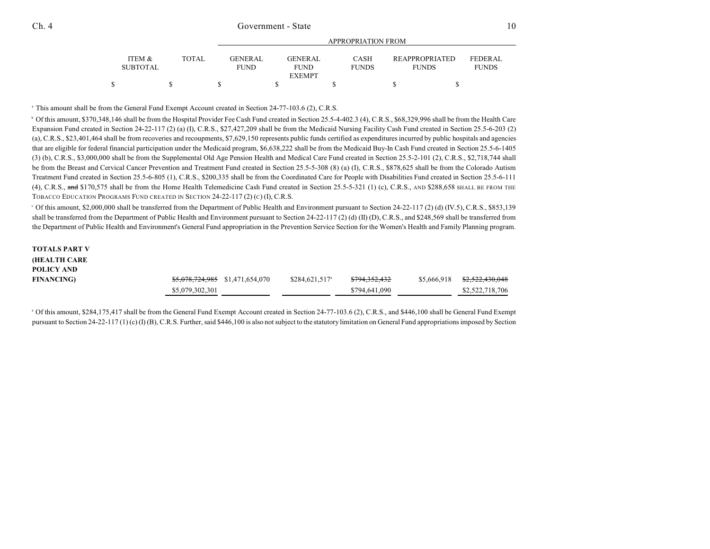|                           |              |                                | APPROPRIATION FROM            |                             |                                       |                                |  |  |  |
|---------------------------|--------------|--------------------------------|-------------------------------|-----------------------------|---------------------------------------|--------------------------------|--|--|--|
| ITEM &<br><b>SUBTOTAL</b> | <b>TOTAL</b> | <b>GENER AL</b><br><b>FUND</b> | <b>GENERAL</b><br><b>FUND</b> | <b>CASH</b><br><b>FUNDS</b> | <b>REAPPROPRIATED</b><br><b>FUNDS</b> | <b>FEDERAL</b><br><b>FUNDS</b> |  |  |  |
|                           |              |                                | <b>EXEMPT</b>                 |                             |                                       |                                |  |  |  |
|                           |              |                                |                               |                             |                                       |                                |  |  |  |

<sup>a</sup> This amount shall be from the General Fund Exempt Account created in Section 24-77-103.6 (2), C.R.S.

<sup>b</sup> Of this amount, \$370,348,146 shall be from the Hospital Provider Fee Cash Fund created in Section 25.5-4-402.3 (4), C.R.S., \$68,329,996 shall be from the Health Care Expansion Fund created in Section 24-22-117 (2) (a) (I), C.R.S., \$27,427,209 shall be from the Medicaid Nursing Facility Cash Fund created in Section 25.5-6-203 (2) (a), C.R.S., \$23,401,464 shall be from recoveries and recoupments, \$7,629,150 represents public funds certified as expenditures incurred by public hospitals and agencies that are eligible for federal financial participation under the Medicaid program, \$6,638,222 shall be from the Medicaid Buy-In Cash Fund created in Section 25.5-6-1405 (3) (b), C.R.S., \$3,000,000 shall be from the Supplemental Old Age Pension Health and Medical Care Fund created in Section 25.5-2-101 (2), C.R.S., \$2,718,744 shall be from the Breast and Cervical Cancer Prevention and Treatment Fund created in Section 25.5-5-308 (8) (a) (I), C.R.S., \$878,625 shall be from the Colorado Autism Treatment Fund created in Section 25.5-6-805 (1), C.R.S., \$200,335 shall be from the Coordinated Care for People with Disabilities Fund created in Section 25.5-6-111 (4), C.R.S.,  $\frac{1}{2}$  and \$170,575 shall be from the Home Health Telemedicine Cash Fund created in Section 25.5-5-321 (1) (c), C.R.S., AND \$288,658 SHALL BE FROM THE TOBACCO EDUCATION PROGRAMS FUND CREATED IN SECTION 24-22-117 (2) (C) (I), C.R.S.

Of this amount, \$2,000,000 shall be transferred from the Department of Public Health and Environment pursuant to Section 24-22-117 (2) (d) (IV.5), C.R.S., \$853,139 <sup>c</sup> shall be transferred from the Department of Public Health and Environment pursuant to Section 24-22-117 (2) (d) (II) (D), C.R.S., and \$248,569 shall be transferred from the Department of Public Health and Environment's General Fund appropriation in the Prevention Service Section for the Women's Health and Family Planning program.

#### **TOTALS PART V (HEALTH CARE POLICY AND FINANCING**) **\$5,078,724,985** \$1,471,654,070 \$284,621,517<sup>°</sup> \$794,352,432 \$5,666,918 \$2,522,430,048 \$5,079,302,301 \$794,641,090 \$2,522,718,706

<sup>a</sup> Of this amount, \$284,175,417 shall be from the General Fund Exempt Account created in Section 24-77-103.6 (2), C.R.S., and \$446,100 shall be General Fund Exempt pursuant to Section 24-22-117 (1) (c) (I) (B), C.R.S. Further, said \$446,100 is also not subject to the statutory limitation on General Fund appropriations imposed by Section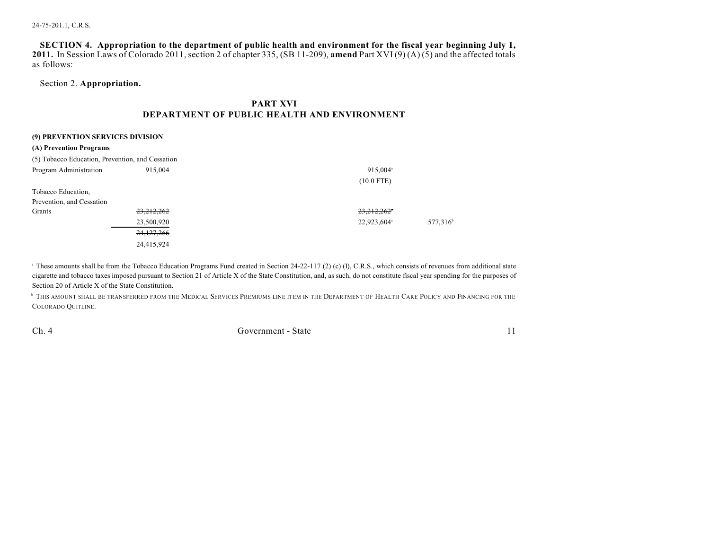SECTION 4. Appropriation to the department of public health and environment for the fiscal year beginning July 1, **2011.** In Session Laws of Colorado 2011, section 2 of chapter 335, (SB 11-209), **amend** Part XVI (9) (A) (5) and the affected totals as follows:

## Section 2. **Appropriation.**

# **PART XVI DEPARTMENT OF PUBLIC HEALTH AND ENVIRONMENT**

| (9) PREVENTION SERVICES DIVISION                 |              |                         |                      |  |  |  |  |  |
|--------------------------------------------------|--------------|-------------------------|----------------------|--|--|--|--|--|
| (A) Prevention Programs                          |              |                         |                      |  |  |  |  |  |
| (5) Tobacco Education, Prevention, and Cessation |              |                         |                      |  |  |  |  |  |
| Program Administration                           | 915,004      | 915,004 <sup>a</sup>    |                      |  |  |  |  |  |
|                                                  |              | $(10.0$ FTE)            |                      |  |  |  |  |  |
| Tobacco Education,                               |              |                         |                      |  |  |  |  |  |
| Prevention, and Cessation                        |              |                         |                      |  |  |  |  |  |
| Grants                                           | 23,212,262   | 23,212,262              |                      |  |  |  |  |  |
|                                                  | 23,500,920   | 22,923,604 <sup>a</sup> | 577,316 <sup>b</sup> |  |  |  |  |  |
|                                                  | 24, 127, 266 |                         |                      |  |  |  |  |  |
|                                                  | 24,415,924   |                         |                      |  |  |  |  |  |

<sup>a</sup> These amounts shall be from the Tobacco Education Programs Fund created in Section 24-22-117 (2) (c) (I), C.R.S., which consists of revenues from additional state cigarette and tobacco taxes imposed pursuant to Section 21 of Article X of the State Constitution, and, as such, do not constitute fiscal year spending for the purposes of Section 20 of Article X of the State Constitution.

 $^\circ$  This amount shall be transferred from the Medical Services Premiums line item in the Department of Health Care Policy and Financing for the COLORADO QUITLINE.

Ch. 4 Government - State 11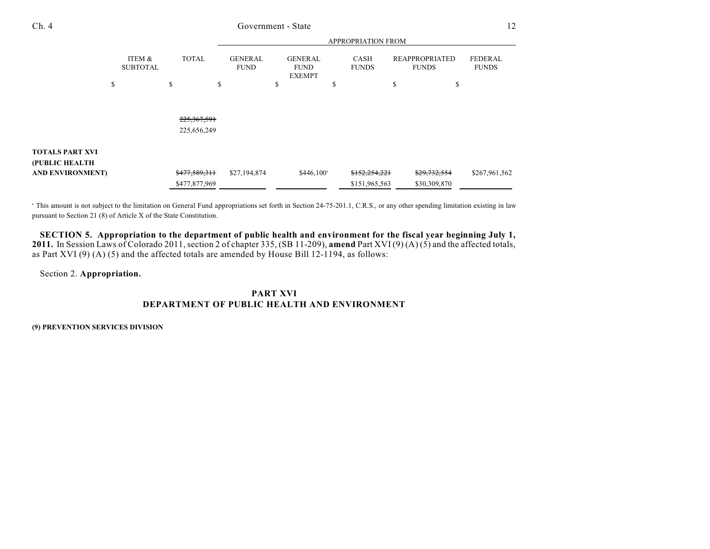|                         |                           |               | APPROPRIATION FROM            |                                                |                      |                                       |                                |  |
|-------------------------|---------------------------|---------------|-------------------------------|------------------------------------------------|----------------------|---------------------------------------|--------------------------------|--|
|                         | ITEM &<br><b>SUBTOTAL</b> | <b>TOTAL</b>  | <b>GENERAL</b><br><b>FUND</b> | <b>GENERAL</b><br><b>FUND</b><br><b>EXEMPT</b> | CASH<br><b>FUNDS</b> | <b>REAPPROPRIATED</b><br><b>FUNDS</b> | <b>FEDERAL</b><br><b>FUNDS</b> |  |
|                         | \$                        | \$            | \$                            | \$                                             | \$                   | \$<br>\$                              |                                |  |
|                         |                           |               |                               |                                                |                      |                                       |                                |  |
|                         |                           |               |                               |                                                |                      |                                       |                                |  |
|                         |                           | 225, 367, 591 |                               |                                                |                      |                                       |                                |  |
|                         |                           | 225,656,249   |                               |                                                |                      |                                       |                                |  |
|                         |                           |               |                               |                                                |                      |                                       |                                |  |
| <b>TOTALS PART XVI</b>  |                           |               |                               |                                                |                      |                                       |                                |  |
| (PUBLIC HEALTH          |                           |               |                               |                                                |                      |                                       |                                |  |
| <b>AND ENVIRONMENT)</b> |                           | \$477,589,311 | \$27,194,874                  | $$446,100^{\circ}$                             | \$152,254,221        | \$29,732,554                          | \$267,961,562                  |  |
|                         |                           | \$477,877,969 |                               |                                                | \$151,965,563        | \$30,309,870                          |                                |  |

<sup>a</sup> This amount is not subject to the limitation on General Fund appropriations set forth in Section 24-75-201.1, C.R.S., or any other spending limitation existing in law pursuant to Section 21 (8) of Article X of the State Constitution.

SECTION 5. Appropriation to the department of public health and environment for the fiscal year beginning July 1, 2011. In Session Laws of Colorado 2011, section 2 of chapter 335, (SB 11-209), amend Part XVI (9) (A) (5) and the affected totals, as Part XVI (9) (A) (5) and the affected totals are amended by House Bill 12-1194, as follows:

Section 2. **Appropriation.**

### **PART XVI DEPARTMENT OF PUBLIC HEALTH AND ENVIRONMENT**

**(9) PREVENTION SERVICES DIVISION**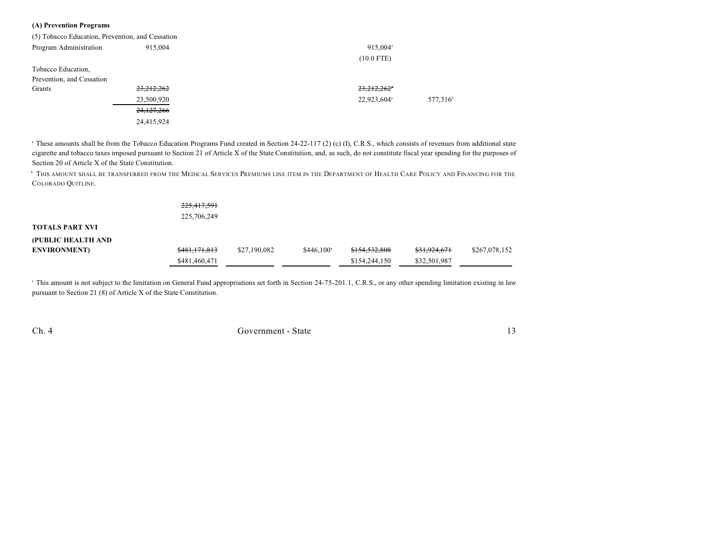#### **(A) Prevention Programs**

| (5) Tobacco Education, Prevention, and Cessation |              |                         |                      |  |  |
|--------------------------------------------------|--------------|-------------------------|----------------------|--|--|
| Program Administration                           | 915,004      | $915.004$ <sup>a</sup>  |                      |  |  |
|                                                  |              | $(10.0$ FTE)            |                      |  |  |
| Tobacco Education,                               |              |                         |                      |  |  |
| Prevention, and Cessation                        |              |                         |                      |  |  |
| Grants                                           | 23, 212, 262 | 23,212,262              |                      |  |  |
|                                                  | 23,500,920   | 22,923,604 <sup>a</sup> | 577,316 <sup>b</sup> |  |  |
|                                                  | 24,127,266   |                         |                      |  |  |
|                                                  | 24,415,924   |                         |                      |  |  |

<sup>a</sup> These amounts shall be from the Tobacco Education Programs Fund created in Section 24-22-117 (2) (c) (I), C.R.S., which consists of revenues from additional state cigarette and tobacco taxes imposed pursuant to Section 21 of Article X of the State Constitution, and, as such, do not constitute fiscal year spending for the purposes of Section 20 of Article X of the State Constitution.

 $^{\rm b}$  This amount shall be transferred from the Medical Services Premiums line item in the Department of Health Care Policy and Financing for the COLORADO QUITLINE.

|                        | 225,417,591<br>225,706,249 |              |                    |               |              |               |
|------------------------|----------------------------|--------------|--------------------|---------------|--------------|---------------|
| <b>TOTALS PART XVI</b> |                            |              |                    |               |              |               |
| (PUBLIC HEALTH AND     |                            |              |                    |               |              |               |
| <b>ENVIRONMENT</b> )   | \$481,171,813              | \$27,190,082 | $$446.100^{\circ}$ | \$154,532,808 | \$31,924,671 | \$267,078,152 |
|                        | \$481,460,471              |              |                    | \$154,244,150 | \$32,501,987 |               |

<sup>a</sup> This amount is not subject to the limitation on General Fund appropriations set forth in Section 24-75-201.1, C.R.S., or any other spending limitation existing in law pursuant to Section 21 (8) of Article X of the State Constitution.

Ch. 4 Government - State 13